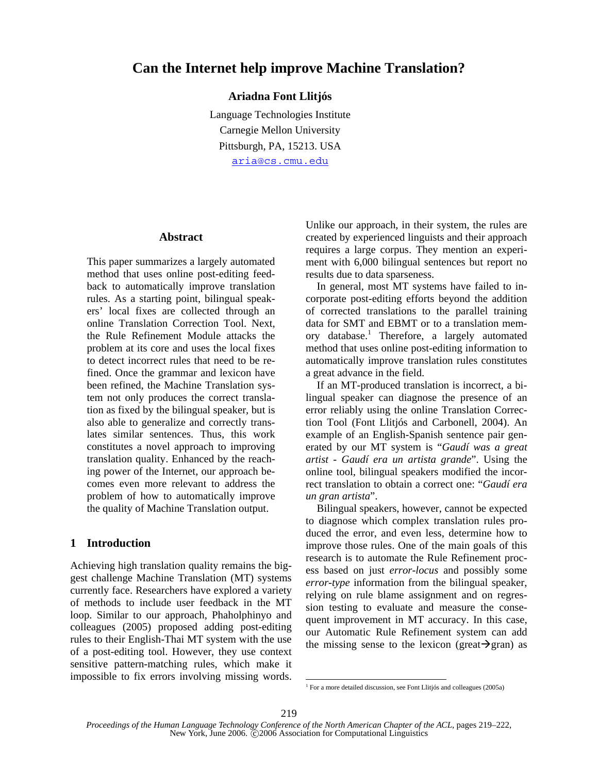# **Can the Internet help improve Machine Translation?**

# **Ariadna Font Llitjós**

Language Technologies Institute Carnegie Mellon University Pittsburgh, PA, 15213. USA aria@cs.cmu.edu

#### **Abstract**

This paper summarizes a largely automated method that uses online post-editing feedback to automatically improve translation rules. As a starting point, bilingual speakers' local fixes are collected through an online Translation Correction Tool. Next, the Rule Refinement Module attacks the problem at its core and uses the local fixes to detect incorrect rules that need to be refined. Once the grammar and lexicon have been refined, the Machine Translation system not only produces the correct translation as fixed by the bilingual speaker, but is also able to generalize and correctly translates similar sentences. Thus, this work constitutes a novel approach to improving translation quality. Enhanced by the reaching power of the Internet, our approach becomes even more relevant to address the problem of how to automatically improve the quality of Machine Translation output.

# **1 Introduction**

Achieving high translation quality remains the biggest challenge Machine Translation (MT) systems currently face. Researchers have explored a variety of methods to include user feedback in the MT loop. Similar to our approach, Phaholphinyo and colleagues (2005) proposed adding post-editing rules to their English-Thai MT system with the use of a post-editing tool. However, they use context sensitive pattern-matching rules, which make it impossible to fix errors involving missing words. Unlike our approach, in their system, the rules are created by experienced linguists and their approach requires a large corpus. They mention an experiment with 6,000 bilingual sentences but report no results due to data sparseness.

In general, most MT systems have failed to incorporate post-editing efforts beyond the addition of corrected translations to the parallel training data for SMT and EBMT or to a translation memory database.<sup>1</sup> Therefore, a largely automated method that uses online post-editing information to automatically improve translation rules constitutes a great advance in the field.

If an MT-produced translation is incorrect, a bilingual speaker can diagnose the presence of an error reliably using the online Translation Correction Tool (Font Llitjós and Carbonell, 2004). An example of an English-Spanish sentence pair generated by our MT system is "*Gaudí was a great artist* - *Gaudí era un artista grande*". Using the online tool, bilingual speakers modified the incorrect translation to obtain a correct one: "*Gaudí era un gran artista*".

Bilingual speakers, however, cannot be expected to diagnose which complex translation rules produced the error, and even less, determine how to improve those rules. One of the main goals of this research is to automate the Rule Refinement process based on just *error-locus* and possibly some *error-type* information from the bilingual speaker, relying on rule blame assignment and on regression testing to evaluate and measure the consequent improvement in MT accuracy. In this case, our Automatic Rule Refinement system can add the missing sense to the lexicon (great $\rightarrow$ gran) as

 $\overline{a}$ 

<sup>&</sup>lt;sup>1</sup> For a more detailed discussion, see Font Llitjós and colleagues (2005a)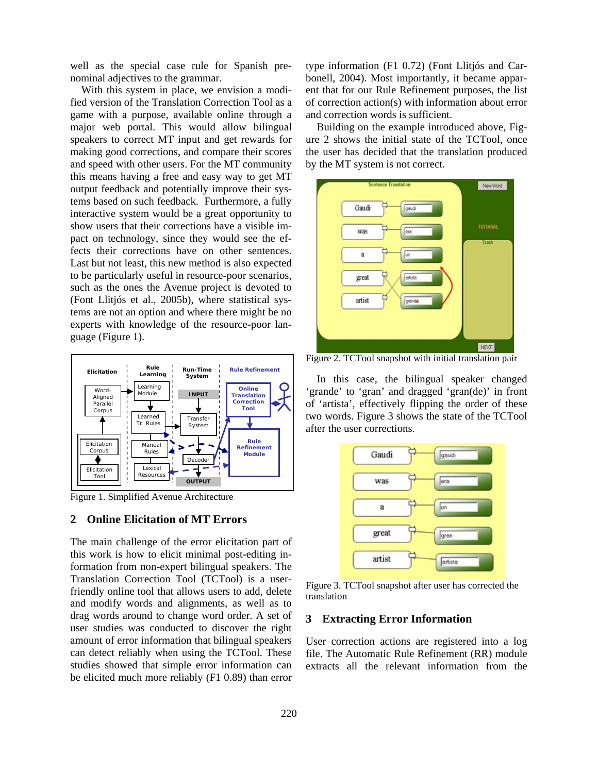well as the special case rule for Spanish prenominal adjectives to the grammar.

With this system in place, we envision a modified version of the Translation Correction Tool as a game with a purpose, available online through a major web portal. This would allow bilingual speakers to correct MT input and get rewards for making good corrections, and compare their scores and speed with other users. For the MT community this means having a free and easy way to get MT output feedback and potentially improve their systems based on such feedback. Furthermore, a fully interactive system would be a great opportunity to show users that their corrections have a visible impact on technology, since they would see the effects their corrections have on other sentences. Last but not least, this new method is also expected to be particularly useful in resource-poor scenarios, such as the ones the Avenue project is devoted to (Font Llitjós et al., 2005b), where statistical systems are not an option and where there might be no experts with knowledge of the resource-poor language (Figure 1).



Figure 1. Simplified Avenue Architecture

### **2 Online Elicitation of MT Errors**

The main challenge of the error elicitation part of this work is how to elicit minimal post-editing information from non-expert bilingual speakers. The Translation Correction Tool (TCTool) is a userfriendly online tool that allows users to add, delete and modify words and alignments, as well as to drag words around to change word order. A set of user studies was conducted to discover the right amount of error information that bilingual speakers can detect reliably when using the TCTool. These studies showed that simple error information can be elicited much more reliably (F1 0.89) than error

type information (F1 0.72) (Font Llitjós and Carbonell, 2004). Most importantly, it became apparent that for our Rule Refinement purposes, the list of correction action(s) with information about error and correction words is sufficient.

Building on the example introduced above, Figure 2 shows the initial state of the TCTool, once the user has decided that the translation produced by the MT system is not correct.



Figure 2. TCTool snapshot with initial translation pair

In this case, the bilingual speaker changed 'grande' to 'gran' and dragged 'gran(de)' in front of 'artista', effectively flipping the order of these two words. Figure 3 shows the state of the TCTool after the user corrections.



Figure 3. TCTool snapshot after user has corrected the translation

### **3 Extracting Error Information**

User correction actions are registered into a log file. The Automatic Rule Refinement (RR) module extracts all the relevant information from the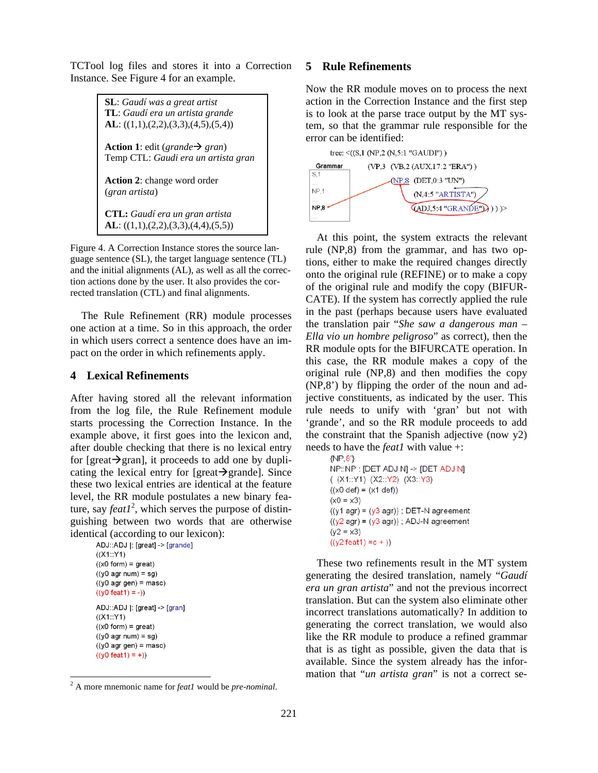TCTool log files and stores it into a Correction Instance. See Figure 4 for an example.

> **SL**: *Gaudí was a great artist*  **TL**: *Gaudí era un artista grande*  **AL**: ((1,1),(2,2),(3,3),(4,5),(5,4)) **Action 1**: edit (*grande*  $\rightarrow$  *gran*) Temp CTL: *Gaudi era un artista gran* **Action 2**: change word order (*gran artista*) **CTL:** *Gaudí era un gran artista* **AL**: ((1,1),(2,2),(3,3),(4,4),(5,5))

Figure 4. A Correction Instance stores the source language sentence (SL), the target language sentence (TL) and the initial alignments (AL), as well as all the correction actions done by the user. It also provides the corrected translation (CTL) and final alignments.

The Rule Refinement (RR) module processes one action at a time. So in this approach, the order in which users correct a sentence does have an impact on the order in which refinements apply.

# **4 Lexical Refinements**

After having stored all the relevant information from the log file, the Rule Refinement module starts processing the Correction Instance. In the example above, it first goes into the lexicon and, after double checking that there is no lexical entry for [great $\rightarrow$ gran], it proceeds to add one by duplicating the lexical entry for [great $\rightarrow$ grande]. Since these two lexical entries are identical at the feature level, the RR module postulates a new binary feature, say  $feat1<sup>2</sup>$ , which serves the purpose of distinguishing between two words that are otherwise identical (according to our lexicon):

```
ADJ::ADJ |: [great] -> [grande]
((X1::Y1)((x0 form) = great)((y0 agr num) = sg)((y0 \text{ agr gen}) = \text{masc})((y0 feat1) = -))ADJ::ADJ |: [great] -> [gran]
((X1::Y1)((x0 form) = great)((y0 agr num) = sg)((y0 \text{ agr gen}) = \text{masc})((y0 feat1) = +))
```
### **5 Rule Refinements**

Now the RR module moves on to process the next action in the Correction Instance and the first step is to look at the parse trace output by the MT system, so that the grammar rule responsible for the error can be identified:



At this point, the system extracts the relevant rule (NP,8) from the grammar, and has two options, either to make the required changes directly onto the original rule (REFINE) or to make a copy of the original rule and modify the copy (BIFUR-CATE). If the system has correctly applied the rule in the past (perhaps because users have evaluated the translation pair "*She saw a dangerous man – Ella vio un hombre peligroso*" as correct), then the RR module opts for the BIFURCATE operation. In this case, the RR module makes a copy of the original rule (NP,8) and then modifies the copy (NP,8') by flipping the order of the noun and adjective constituents, as indicated by the user. This rule needs to unify with 'gran' but not with 'grande', and so the RR module proceeds to add the constraint that the Spanish adjective (now  $y2$ ) needs to have the *feat1* with value +:

```
\{NP, 8\}NP::NP : [DET ADJ N] -> [DET ADJ N]
((X1::Y1) (X2::Y2) (X3::Y3)
((x0def) = (x1def))(x0 = x3)((y1 agr) = (y3 agr)); DET-N agreement
((y2 \text{ agr}) = (y3 \text{ agr})); ADJ-N agreement
(y2 = x3)((y2\textrm{feat1}) = c +))
```
These two refinements result in the MT system generating the desired translation, namely "*Gaudí era un gran artista*" and not the previous incorrect translation. But can the system also eliminate other incorrect translations automatically? In addition to generating the correct translation, we would also like the RR module to produce a refined grammar that is as tight as possible, given the data that is available. Since the system already has the information that "*un artista gran*" is not a correct se-

 $\frac{1}{2}$ A more mnemonic name for *feat1* would be *pre-nominal*.